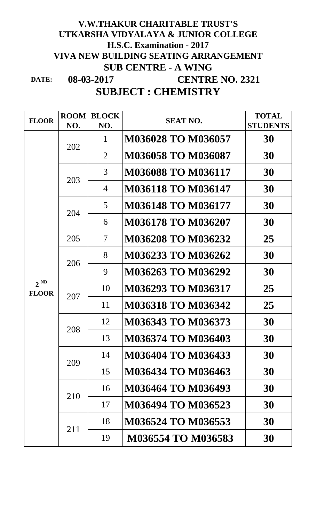## **V.W.THAKUR CHARITABLE TRUST'S UTKARSHA VIDYALAYA & JUNIOR COLLEGE H.S.C. Examination - 2017 VIVA NEW BUILDING SEATING ARRANGEMENT SUB CENTRE - A WING**

**DATE: SUBJECT : CHEMISTRY 08-03-2017 CENTRE NO. 2321**

| <b>FLOOR</b>             | <b>ROOM</b><br>NO. | <b>BLOCK</b><br>NO.      | <b>SEAT NO.</b>           | <b>TOTAL</b><br><b>STUDENTS</b> |
|--------------------------|--------------------|--------------------------|---------------------------|---------------------------------|
| $2^{ND}$<br><b>FLOOR</b> | 202                | $\mathbf{1}$             | <b>M036028 TO M036057</b> | 30                              |
|                          |                    | $\overline{2}$           | <b>M036058 TO M036087</b> | 30                              |
|                          | 203                | 3                        | M036088 TO M036117        | 30                              |
|                          |                    | $\overline{4}$           | <b>M036118 TO M036147</b> | 30                              |
|                          | 204                | 5 <sup>5</sup>           | M036148 TO M036177        | 30                              |
|                          |                    | 6                        | <b>M036178 TO M036207</b> | 30                              |
|                          | 205                | $\overline{\mathcal{L}}$ | M036208 TO M036232        | 25                              |
|                          | 206                | 8                        | M036233 TO M036262        | 30                              |
|                          |                    | 9                        | M036263 TO M036292        | 30                              |
|                          | 207                | 10                       | M036293 TO M036317        | 25                              |
|                          |                    | 11                       | <b>M036318 TO M036342</b> | 25                              |
|                          | 208                | 12                       | <b>M036343 TO M036373</b> | 30                              |
|                          |                    | 13                       | M036374 TO M036403        | 30                              |
|                          | 209                | 14                       | M036404 TO M036433        | 30                              |
|                          |                    | 15                       | M036434 TO M036463        | 30                              |
|                          | 210                | 16                       | M036464 TO M036493        | 30                              |
|                          |                    | 17                       | M036494 TO M036523        | 30                              |
|                          | 211                | 18                       | M036524 TO M036553        | 30                              |
|                          |                    | 19                       | M036554 TO M036583        | 30                              |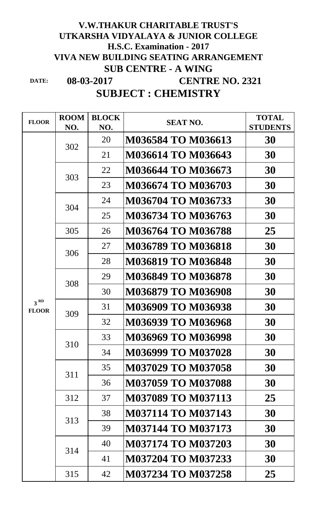## **08-03-2017 V.W.THAKUR CHARITABLE TRUST'S UTKARSHA VIDYALAYA & JUNIOR COLLEGE H.S.C. Examination - 2017 VIVA NEW BUILDING SEATING ARRANGEMENT SUB CENTRE - A WING CENTRE NO. 2321**

**DATE:**

## **SUBJECT : CHEMISTRY**

| <b>FLOOR</b>                    | <b>ROOM</b><br>NO. | <b>BLOCK</b><br>NO. | <b>SEAT NO.</b>           | <b>TOTAL</b><br><b>STUDENTS</b> |
|---------------------------------|--------------------|---------------------|---------------------------|---------------------------------|
|                                 | 302                | 20                  | M036584 TO M036613        | 30                              |
|                                 |                    | 21                  | <b>M036614 TO M036643</b> | 30                              |
|                                 | 303                | 22                  | M036644 TO M036673        | 30                              |
|                                 |                    | 23                  | M036674 TO M036703        | 30                              |
|                                 | 304                | 24                  | M036704 TO M036733        | 30                              |
|                                 |                    | 25                  | M036734 TO M036763        | 30                              |
|                                 | 305                | 26                  | M036764 TO M036788        | 25                              |
|                                 | 306                | 27                  | <b>M036789 TO M036818</b> | 30                              |
|                                 |                    | 28                  | <b>M036819 TO M036848</b> | 30                              |
|                                 | 308                | 29                  | M036849 TO M036878        | 30                              |
|                                 |                    | 30                  | M036879 TO M036908        | 30                              |
| 3 <sup>RD</sup><br><b>FLOOR</b> | 309                | 31                  | <b>M036909 TO M036938</b> | 30                              |
|                                 |                    | 32                  | M036939 TO M036968        | 30                              |
|                                 | 310                | 33                  | M036969 TO M036998        | 30                              |
|                                 |                    | 34                  | M036999 TO M037028        | 30                              |
|                                 | 311                | 35                  | <b>M037029 TO M037058</b> | 30                              |
|                                 |                    | 36                  | <b>M037059 TO M037088</b> | 30                              |
|                                 | 312                | 37                  | <b>M037089 TO M037113</b> | 25                              |
|                                 | 313                | 38                  | M037114 TO M037143        | 30                              |
|                                 |                    | 39                  | <b>M037144 TO M037173</b> | 30                              |
|                                 | 314                | 40                  | <b>M037174 TO M037203</b> | 30                              |
|                                 |                    | 41                  | M037204 TO M037233        | 30                              |
|                                 | 315                | 42                  | <b>M037234 TO M037258</b> | 25                              |